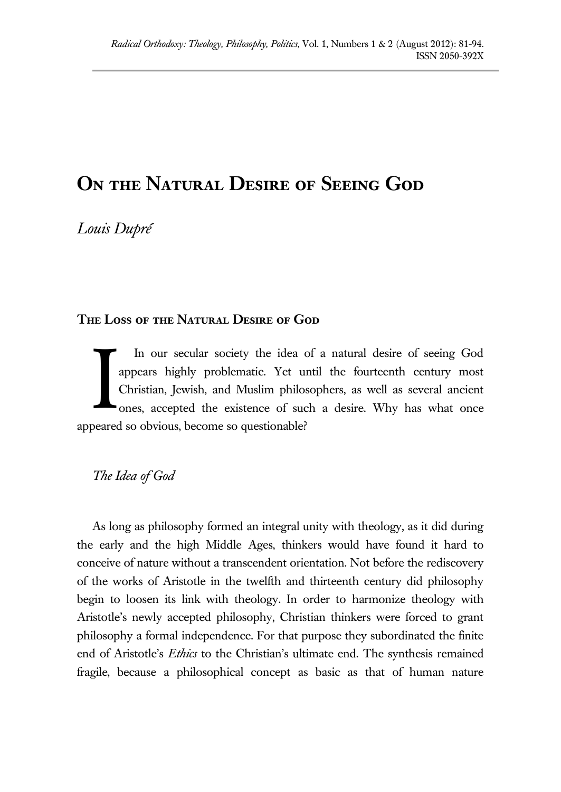# **On the Natural Desire of Seeing God**

*Louis Dupré*

# **The Loss of the Natural Desire of God**

In our secular society the idea of a natural desire of seeing God appears highly problematic. Yet until the fourteenth century most Christian, Jewish, and Muslim philosophers, as well as several ancient ones, accepted the existence of such a desire. Why has what once appeared so obvious, become so questionable? I

# *The Idea of God*

As long as philosophy formed an integral unity with theology, as it did during the early and the high Middle Ages, thinkers would have found it hard to conceive of nature without a transcendent orientation. Not before the rediscovery of the works of Aristotle in the twelfth and thirteenth century did philosophy begin to loosen its link with theology. In order to harmonize theology with Aristotle's newly accepted philosophy, Christian thinkers were forced to grant philosophy a formal independence. For that purpose they subordinated the finite end of Aristotle's *Ethics* to the Christian's ultimate end. The synthesis remained fragile, because a philosophical concept as basic as that of human nature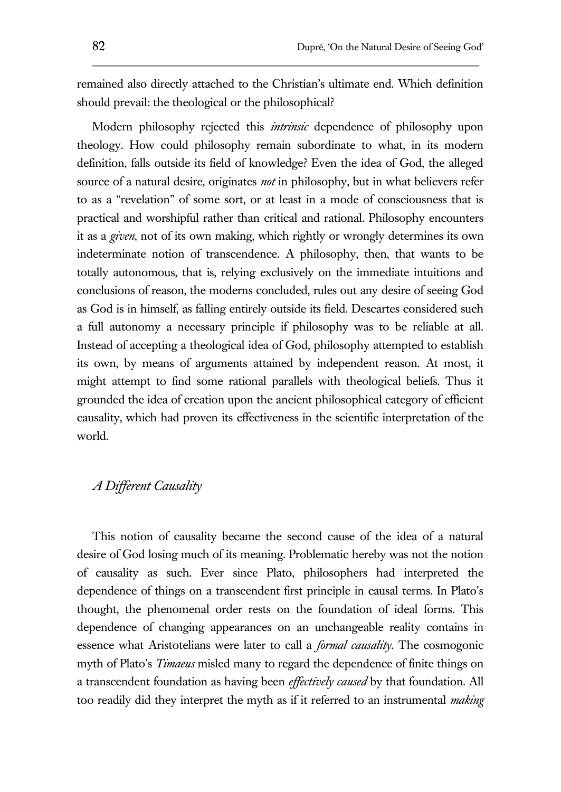remained also directly attached to the Christian's ultimate end. Which definition should prevail: the theological or the philosophical?

Modern philosophy rejected this *intrinsic* dependence of philosophy upon theology. How could philosophy remain subordinate to what, in its modern definition, falls outside its field of knowledge? Even the idea of God, the alleged source of a natural desire, originates *not* in philosophy, but in what believers refer to as a "revelation" of some sort, or at least in a mode of consciousness that is practical and worshipful rather than critical and rational. Philosophy encounters it as a *given*, not of its own making, which rightly or wrongly determines its own indeterminate notion of transcendence. A philosophy, then, that wants to be totally autonomous, that is, relying exclusively on the immediate intuitions and conclusions of reason, the moderns concluded, rules out any desire of seeing God as God is in himself, as falling entirely outside its field. Descartes considered such a full autonomy a necessary principle if philosophy was to be reliable at all. Instead of accepting a theological idea of God, philosophy attempted to establish its own, by means of arguments attained by independent reason. At most, it might attempt to find some rational parallels with theological beliefs. Thus it grounded the idea of creation upon the ancient philosophical category of efficient causality, which had proven its effectiveness in the scientific interpretation of the world.

# *A Different Causality*

This notion of causality became the second cause of the idea of a natural desire of God losing much of its meaning. Problematic hereby was not the notion of causality as such. Ever since Plato, philosophers had interpreted the dependence of things on a transcendent first principle in causal terms. In Plato's thought, the phenomenal order rests on the foundation of ideal forms. This dependence of changing appearances on an unchangeable reality contains in essence what Aristotelians were later to call a *formal causality*. The cosmogonic myth of Plato's *Timaeus* misled many to regard the dependence of finite things on a transcendent foundation as having been *effectively caused* by that foundation. All too readily did they interpret the myth as if it referred to an instrumental *making*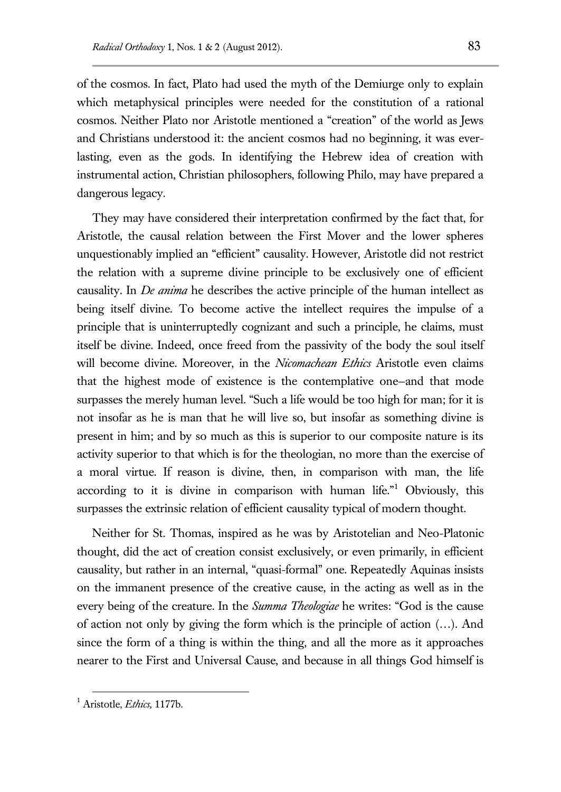of the cosmos. In fact, Plato had used the myth of the Demiurge only to explain which metaphysical principles were needed for the constitution of a rational cosmos. Neither Plato nor Aristotle mentioned a "creation" of the world as Jews and Christians understood it: the ancient cosmos had no beginning, it was everlasting, even as the gods. In identifying the Hebrew idea of creation with instrumental action, Christian philosophers, following Philo, may have prepared a dangerous legacy.

They may have considered their interpretation confirmed by the fact that, for Aristotle, the causal relation between the First Mover and the lower spheres unquestionably implied an "efficient" causality. However, Aristotle did not restrict the relation with a supreme divine principle to be exclusively one of efficient causality. In *De anima* he describes the active principle of the human intellect as being itself divine. To become active the intellect requires the impulse of a principle that is uninterruptedly cognizant and such a principle, he claims, must itself be divine. Indeed, once freed from the passivity of the body the soul itself will become divine. Moreover, in the *Nicomachean Ethics* Aristotle even claims that the highest mode of existence is the contemplative one—and that mode surpasses the merely human level. "Such a life would be too high for man; for it is not insofar as he is man that he will live so, but insofar as something divine is present in him; and by so much as this is superior to our composite nature is its activity superior to that which is for the theologian, no more than the exercise of a moral virtue. If reason is divine, then, in comparison with man, the life according to it is divine in comparison with human life."<sup>1</sup> Obviously, this surpasses the extrinsic relation of efficient causality typical of modern thought.

Neither for St. Thomas, inspired as he was by Aristotelian and Neo-Platonic thought, did the act of creation consist exclusively, or even primarily, in efficient causality, but rather in an internal, "quasi-formal" one. Repeatedly Aquinas insists on the immanent presence of the creative cause, in the acting as well as in the every being of the creature. In the *Summa Theologiae* he writes: "God is the cause of action not only by giving the form which is the principle of action (…). And since the form of a thing is within the thing, and all the more as it approaches nearer to the First and Universal Cause, and because in all things God himself is

<sup>1</sup> Aristotle, *Ethics,* 1177b.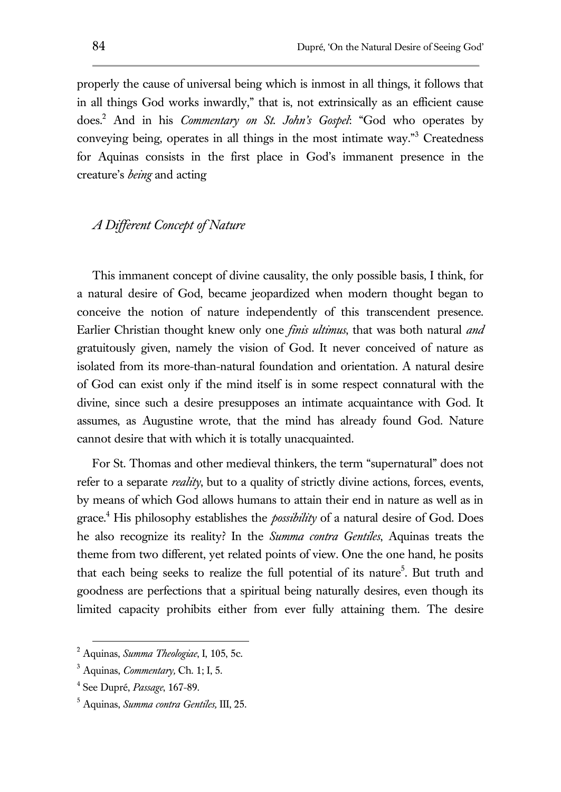properly the cause of universal being which is inmost in all things, it follows that in all things God works inwardly," that is, not extrinsically as an efficient cause does.<sup>2</sup> And in his *Commentary on St. John's Gospel*: "God who operates by conveying being, operates in all things in the most intimate way."<sup>3</sup> Createdness for Aquinas consists in the first place in God's immanent presence in the creature's *being* and acting

## *A Different Concept of Nature*

This immanent concept of divine causality, the only possible basis, I think, for a natural desire of God, became jeopardized when modern thought began to conceive the notion of nature independently of this transcendent presence. Earlier Christian thought knew only one *finis ultimus*, that was both natural *and* gratuitously given, namely the vision of God. It never conceived of nature as isolated from its more-than-natural foundation and orientation. A natural desire of God can exist only if the mind itself is in some respect connatural with the divine, since such a desire presupposes an intimate acquaintance with God. It assumes, as Augustine wrote, that the mind has already found God. Nature cannot desire that with which it is totally unacquainted.

For St. Thomas and other medieval thinkers, the term "supernatural" does not refer to a separate *reality*, but to a quality of strictly divine actions, forces, events, by means of which God allows humans to attain their end in nature as well as in grace.<sup>4</sup> His philosophy establishes the *possibility* of a natural desire of God. Does he also recognize its reality? In the *Summa contra Gentiles*, Aquinas treats the theme from two different, yet related points of view. One the one hand, he posits that each being seeks to realize the full potential of its nature<sup>5</sup>. But truth and goodness are perfections that a spiritual being naturally desires, even though its limited capacity prohibits either from ever fully attaining them. The desire

<sup>2</sup> Aquinas, *Summa Theologiae*, I, 105, 5c.

<sup>3</sup> Aquinas, *Commentary,* Ch. 1; I, 5.

<sup>4</sup> See Dupré, *Passage*, 167-89.

<sup>5</sup> Aquinas, *Summa contra Gentiles,* III, 25.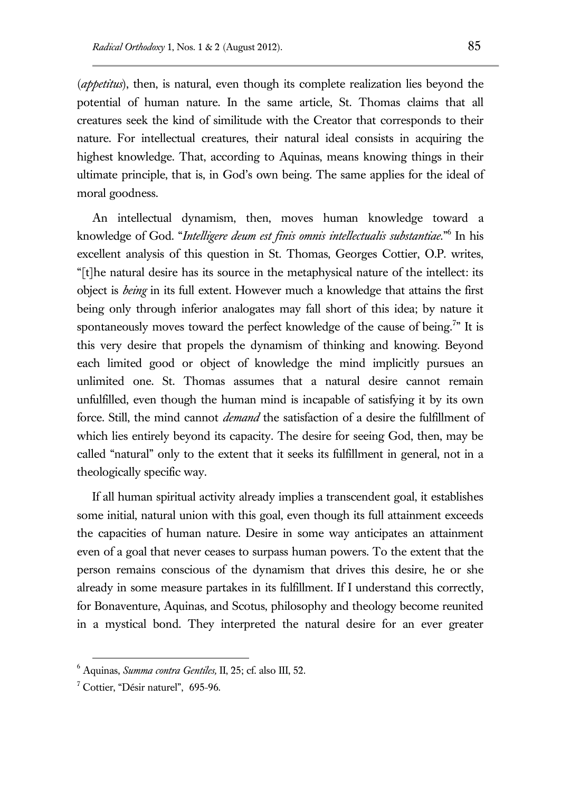(*appetitus*), then, is natural, even though its complete realization lies beyond the potential of human nature. In the same article, St. Thomas claims that all creatures seek the kind of similitude with the Creator that corresponds to their nature. For intellectual creatures, their natural ideal consists in acquiring the highest knowledge. That, according to Aquinas, means knowing things in their ultimate principle, that is, in God's own being. The same applies for the ideal of moral goodness.

An intellectual dynamism, then, moves human knowledge toward a knowledge of God. "*Intelligere deum est finis omnis intellectualis substantiae.*" 6 In his excellent analysis of this question in St. Thomas, Georges Cottier, O.P. writes, "[t]he natural desire has its source in the metaphysical nature of the intellect: its object is *being* in its full extent. However much a knowledge that attains the first being only through inferior analogates may fall short of this idea; by nature it spontaneously moves toward the perfect knowledge of the cause of being.<sup>7</sup> It is this very desire that propels the dynamism of thinking and knowing. Beyond each limited good or object of knowledge the mind implicitly pursues an unlimited one. St. Thomas assumes that a natural desire cannot remain unfulfilled, even though the human mind is incapable of satisfying it by its own force. Still, the mind cannot *demand* the satisfaction of a desire the fulfillment of which lies entirely beyond its capacity. The desire for seeing God, then, may be called "natural" only to the extent that it seeks its fulfillment in general, not in a theologically specific way.

If all human spiritual activity already implies a transcendent goal, it establishes some initial, natural union with this goal, even though its full attainment exceeds the capacities of human nature. Desire in some way anticipates an attainment even of a goal that never ceases to surpass human powers. To the extent that the person remains conscious of the dynamism that drives this desire, he or she already in some measure partakes in its fulfillment. If I understand this correctly, for Bonaventure, Aquinas, and Scotus, philosophy and theology become reunited in a mystical bond. They interpreted the natural desire for an ever greater

<sup>6</sup> Aquinas, *Summa contra Gentiles,* II, 25; cf. also III, 52.

 $<sup>7</sup>$  Cottier, "Désir naturel", 695-96.</sup>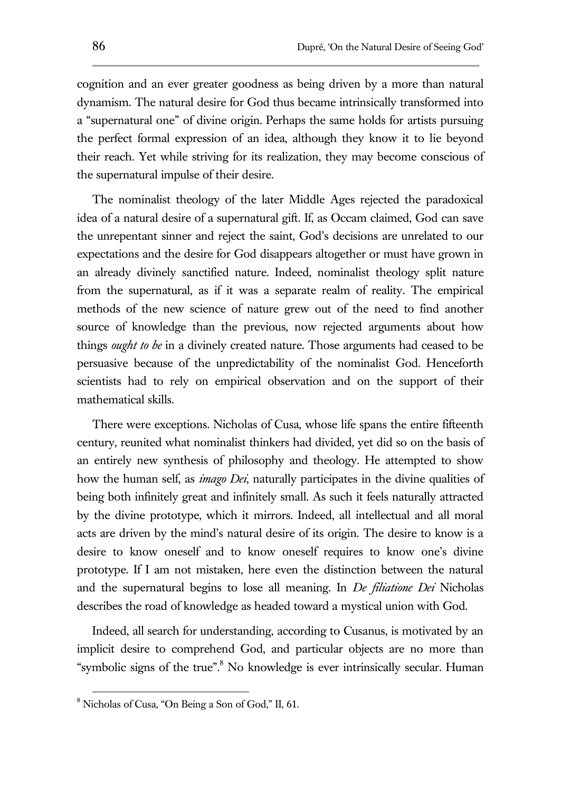cognition and an ever greater goodness as being driven by a more than natural dynamism. The natural desire for God thus became intrinsically transformed into a "supernatural one" of divine origin. Perhaps the same holds for artists pursuing the perfect formal expression of an idea, although they know it to lie beyond their reach. Yet while striving for its realization, they may become conscious of the supernatural impulse of their desire.

The nominalist theology of the later Middle Ages rejected the paradoxical idea of a natural desire of a supernatural gift. If, as Occam claimed, God can save the unrepentant sinner and reject the saint, God's decisions are unrelated to our expectations and the desire for God disappears altogether or must have grown in an already divinely sanctified nature. Indeed, nominalist theology split nature from the supernatural, as if it was a separate realm of reality. The empirical methods of the new science of nature grew out of the need to find another source of knowledge than the previous, now rejected arguments about how things *ought to be* in a divinely created nature. Those arguments had ceased to be persuasive because of the unpredictability of the nominalist God. Henceforth scientists had to rely on empirical observation and on the support of their mathematical skills.

There were exceptions. Nicholas of Cusa, whose life spans the entire fifteenth century, reunited what nominalist thinkers had divided, yet did so on the basis of an entirely new synthesis of philosophy and theology. He attempted to show how the human self, as *imago Dei*, naturally participates in the divine qualities of being both infinitely great and infinitely small. As such it feels naturally attracted by the divine prototype, which it mirrors. Indeed, all intellectual and all moral acts are driven by the mind's natural desire of its origin. The desire to know is a desire to know oneself and to know oneself requires to know one's divine prototype. If I am not mistaken, here even the distinction between the natural and the supernatural begins to lose all meaning. In *De filiatione Dei* Nicholas describes the road of knowledge as headed toward a mystical union with God.

Indeed, all search for understanding, according to Cusanus, is motivated by an implicit desire to comprehend God, and particular objects are no more than "symbolic signs of the true".<sup>8</sup> No knowledge is ever intrinsically secular. Human

<sup>8</sup> Nicholas of Cusa, "On Being a Son of God," II, 61.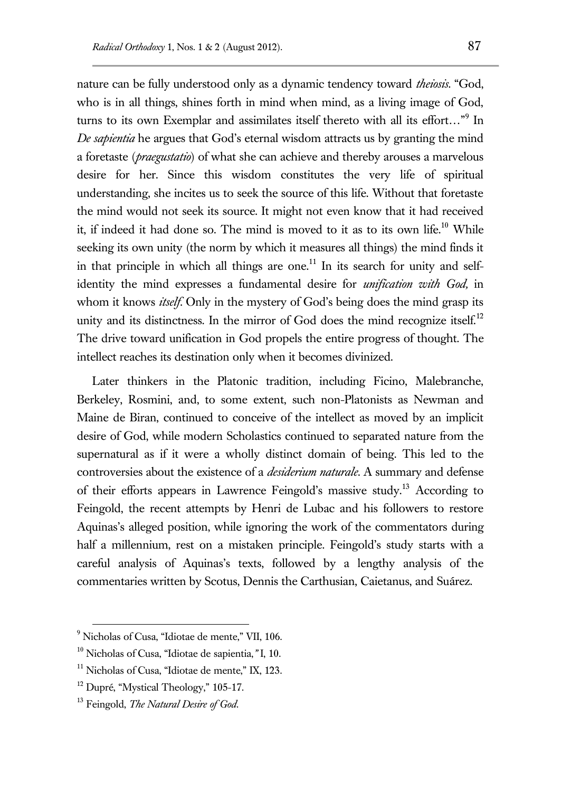nature can be fully understood only as a dynamic tendency toward *theiosis*. "God, who is in all things, shines forth in mind when mind, as a living image of God, turns to its own Exemplar and assimilates itself thereto with all its effort…"<sup>9</sup> In *De sapientia* he argues that God's eternal wisdom attracts us by granting the mind a foretaste (*praegustatio*) of what she can achieve and thereby arouses a marvelous desire for her. Since this wisdom constitutes the very life of spiritual understanding, she incites us to seek the source of this life. Without that foretaste the mind would not seek its source. It might not even know that it had received it, if indeed it had done so. The mind is moved to it as to its own life.<sup>10</sup> While seeking its own unity (the norm by which it measures all things) the mind finds it in that principle in which all things are one.<sup>11</sup> In its search for unity and selfidentity the mind expresses a fundamental desire for *unification with God,* in whom it knows *itself*. Only in the mystery of God's being does the mind grasp its unity and its distinctness. In the mirror of God does the mind recognize itself.<sup>12</sup> The drive toward unification in God propels the entire progress of thought. The intellect reaches its destination only when it becomes divinized.

Later thinkers in the Platonic tradition, including Ficino, Malebranche, Berkeley, Rosmini, and, to some extent, such non-Platonists as Newman and Maine de Biran, continued to conceive of the intellect as moved by an implicit desire of God, while modern Scholastics continued to separated nature from the supernatural as if it were a wholly distinct domain of being. This led to the controversies about the existence of a *desiderium naturale*. A summary and defense of their efforts appears in Lawrence Feingold's massive study.<sup>13</sup> According to Feingold, the recent attempts by Henri de Lubac and his followers to restore Aquinas's alleged position, while ignoring the work of the commentators during half a millennium, rest on a mistaken principle. Feingold's study starts with a careful analysis of Aquinas's texts, followed by a lengthy analysis of the commentaries written by Scotus, Dennis the Carthusian, Caietanus, and Suárez.

<sup>&</sup>lt;sup>9</sup> Nicholas of Cusa, "Idiotae de mente," VII, 106.

<sup>10</sup> Nicholas of Cusa, "Idiotae de sapientia,*"* I, 10.

<sup>&</sup>lt;sup>11</sup> Nicholas of Cusa, "Idiotae de mente," IX, 123.

 $12$  Dupré, "Mystical Theology," 105-17.

<sup>13</sup> Feingold, *The Natural Desire of God*.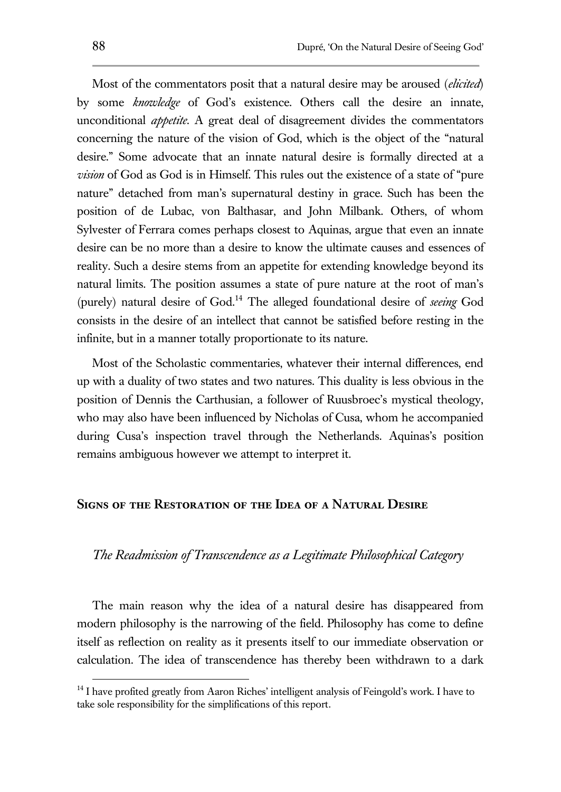Most of the commentators posit that a natural desire may be aroused (*elicited*) by some *knowledge* of God's existence. Others call the desire an innate, unconditional *appetite*. A great deal of disagreement divides the commentators concerning the nature of the vision of God, which is the object of the "natural desire." Some advocate that an innate natural desire is formally directed at a *vision* of God as God is in Himself. This rules out the existence of a state of "pure nature" detached from man's supernatural destiny in grace. Such has been the position of de Lubac, von Balthasar, and John Milbank. Others, of whom Sylvester of Ferrara comes perhaps closest to Aquinas, argue that even an innate desire can be no more than a desire to know the ultimate causes and essences of reality. Such a desire stems from an appetite for extending knowledge beyond its natural limits. The position assumes a state of pure nature at the root of man's (purely) natural desire of God.<sup>14</sup> The alleged foundational desire of *seeing* God consists in the desire of an intellect that cannot be satisfied before resting in the infinite, but in a manner totally proportionate to its nature.

Most of the Scholastic commentaries, whatever their internal differences, end up with a duality of two states and two natures. This duality is less obvious in the position of Dennis the Carthusian, a follower of Ruusbroec's mystical theology, who may also have been influenced by Nicholas of Cusa, whom he accompanied during Cusa's inspection travel through the Netherlands. Aquinas's position remains ambiguous however we attempt to interpret it.

#### **Signs of the Restoration of the Idea of a Natural Desire**

## *The Readmission of Transcendence as a Legitimate Philosophical Category*

The main reason why the idea of a natural desire has disappeared from modern philosophy is the narrowing of the field. Philosophy has come to define itself as reflection on reality as it presents itself to our immediate observation or calculation. The idea of transcendence has thereby been withdrawn to a dark

<sup>&</sup>lt;sup>14</sup> I have profited greatly from Aaron Riches' intelligent analysis of Feingold's work. I have to take sole responsibility for the simplifications of this report.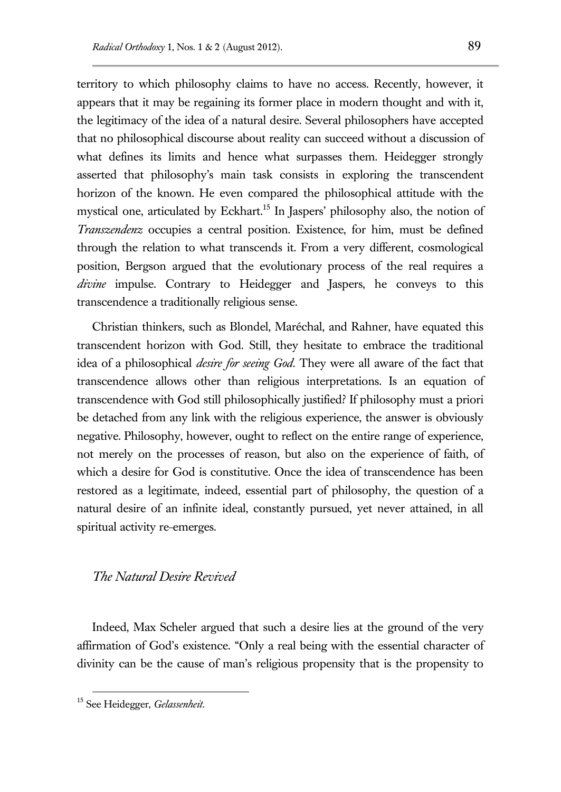territory to which philosophy claims to have no access. Recently, however, it appears that it may be regaining its former place in modern thought and with it, the legitimacy of the idea of a natural desire. Several philosophers have accepted that no philosophical discourse about reality can succeed without a discussion of what defines its limits and hence what surpasses them. Heidegger strongly asserted that philosophy's main task consists in exploring the transcendent horizon of the known. He even compared the philosophical attitude with the mystical one, articulated by Eckhart.<sup>15</sup> In Jaspers' philosophy also, the notion of *Transzendenz* occupies a central position. Existence, for him, must be defined through the relation to what transcends it. From a very different, cosmological position, Bergson argued that the evolutionary process of the real requires a *divine* impulse. Contrary to Heidegger and Jaspers, he conveys to this transcendence a traditionally religious sense.

Christian thinkers, such as Blondel, Maréchal, and Rahner, have equated this transcendent horizon with God. Still, they hesitate to embrace the traditional idea of a philosophical *desire for seeing God*. They were all aware of the fact that transcendence allows other than religious interpretations. Is an equation of transcendence with God still philosophically justified? If philosophy must a priori be detached from any link with the religious experience, the answer is obviously negative. Philosophy, however, ought to reflect on the entire range of experience, not merely on the processes of reason, but also on the experience of faith, of which a desire for God is constitutive. Once the idea of transcendence has been restored as a legitimate, indeed, essential part of philosophy, the question of a natural desire of an infinite ideal, constantly pursued, yet never attained, in all spiritual activity re-emerges.

## *The Natural Desire Revived*

Indeed, Max Scheler argued that such a desire lies at the ground of the very affirmation of God's existence. "Only a real being with the essential character of divinity can be the cause of man's religious propensity that is the propensity to

<sup>15</sup> See Heidegger, *Gelassenheit*.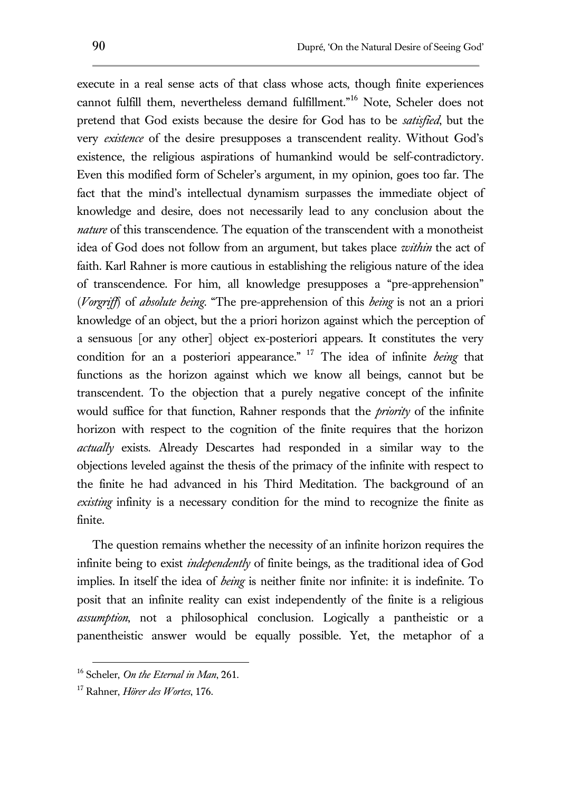execute in a real sense acts of that class whose acts, though finite experiences cannot fulfill them, nevertheless demand fulfillment."<sup>16</sup> Note, Scheler does not pretend that God exists because the desire for God has to be *satisfied*, but the very *existence* of the desire presupposes a transcendent reality. Without God's existence, the religious aspirations of humankind would be self-contradictory. Even this modified form of Scheler's argument, in my opinion, goes too far. The fact that the mind's intellectual dynamism surpasses the immediate object of knowledge and desire, does not necessarily lead to any conclusion about the *nature* of this transcendence. The equation of the transcendent with a monotheist idea of God does not follow from an argument, but takes place *within* the act of faith. Karl Rahner is more cautious in establishing the religious nature of the idea of transcendence. For him, all knowledge presupposes a "pre-apprehension" (*Vorgriff*) of *absolute being*. "The pre-apprehension of this *being* is not an a priori knowledge of an object, but the a priori horizon against which the perception of a sensuous [or any other] object ex-posteriori appears. It constitutes the very condition for an a posteriori appearance." <sup>17</sup> The idea of infinite *being* that functions as the horizon against which we know all beings, cannot but be transcendent. To the objection that a purely negative concept of the infinite would suffice for that function, Rahner responds that the *priority* of the infinite horizon with respect to the cognition of the finite requires that the horizon *actually* exists. Already Descartes had responded in a similar way to the objections leveled against the thesis of the primacy of the infinite with respect to the finite he had advanced in his Third Meditation. The background of an *existing* infinity is a necessary condition for the mind to recognize the finite as finite.

The question remains whether the necessity of an infinite horizon requires the infinite being to exist *independently* of finite beings, as the traditional idea of God implies. In itself the idea of *being* is neither finite nor infinite: it is indefinite. To posit that an infinite reality can exist independently of the finite is a religious *assumption*, not a philosophical conclusion. Logically a pantheistic or a panentheistic answer would be equally possible. Yet, the metaphor of a

<sup>16</sup> Scheler, *On the Eternal in Man*, 261.

<sup>17</sup> Rahner, *Hörer des Wortes*, 176.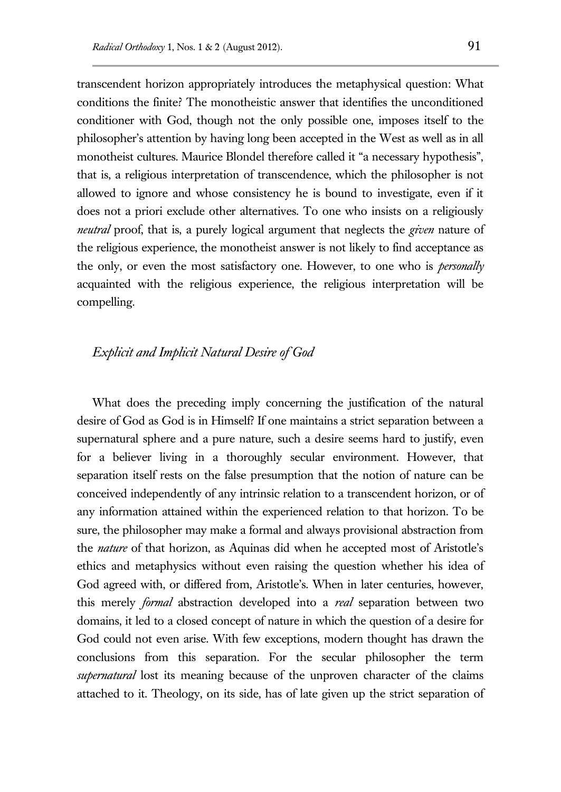transcendent horizon appropriately introduces the metaphysical question: What conditions the finite? The monotheistic answer that identifies the unconditioned conditioner with God, though not the only possible one, imposes itself to the philosopher's attention by having long been accepted in the West as well as in all monotheist cultures. Maurice Blondel therefore called it "a necessary hypothesis", that is, a religious interpretation of transcendence, which the philosopher is not allowed to ignore and whose consistency he is bound to investigate, even if it does not a priori exclude other alternatives. To one who insists on a religiously *neutral* proof, that is, a purely logical argument that neglects the *given* nature of the religious experience, the monotheist answer is not likely to find acceptance as the only, or even the most satisfactory one. However, to one who is *personally*  acquainted with the religious experience, the religious interpretation will be compelling.

## *Explicit and Implicit Natural Desire of God*

What does the preceding imply concerning the justification of the natural desire of God as God is in Himself? If one maintains a strict separation between a supernatural sphere and a pure nature, such a desire seems hard to justify, even for a believer living in a thoroughly secular environment. However, that separation itself rests on the false presumption that the notion of nature can be conceived independently of any intrinsic relation to a transcendent horizon, or of any information attained within the experienced relation to that horizon. To be sure, the philosopher may make a formal and always provisional abstraction from the *nature* of that horizon, as Aquinas did when he accepted most of Aristotle's ethics and metaphysics without even raising the question whether his idea of God agreed with, or differed from, Aristotle's. When in later centuries, however, this merely *formal* abstraction developed into a *real* separation between two domains, it led to a closed concept of nature in which the question of a desire for God could not even arise. With few exceptions, modern thought has drawn the conclusions from this separation. For the secular philosopher the term *supernatural* lost its meaning because of the unproven character of the claims attached to it. Theology, on its side, has of late given up the strict separation of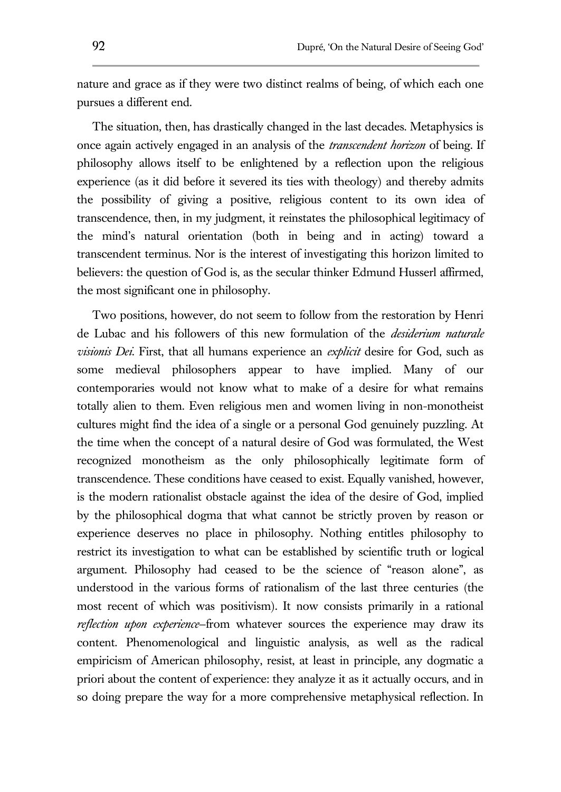nature and grace as if they were two distinct realms of being, of which each one pursues a different end.

The situation, then, has drastically changed in the last decades. Metaphysics is once again actively engaged in an analysis of the *transcendent horizon* of being. If philosophy allows itself to be enlightened by a reflection upon the religious experience (as it did before it severed its ties with theology) and thereby admits the possibility of giving a positive, religious content to its own idea of transcendence, then, in my judgment, it reinstates the philosophical legitimacy of the mind's natural orientation (both in being and in acting) toward a transcendent terminus. Nor is the interest of investigating this horizon limited to believers: the question of God is, as the secular thinker Edmund Husserl affirmed, the most significant one in philosophy.

Two positions, however, do not seem to follow from the restoration by Henri de Lubac and his followers of this new formulation of the *desiderium naturale visionis Dei*. First, that all humans experience an *explicit* desire for God, such as some medieval philosophers appear to have implied. Many of our contemporaries would not know what to make of a desire for what remains totally alien to them. Even religious men and women living in non-monotheist cultures might find the idea of a single or a personal God genuinely puzzling. At the time when the concept of a natural desire of God was formulated, the West recognized monotheism as the only philosophically legitimate form of transcendence. These conditions have ceased to exist. Equally vanished, however, is the modern rationalist obstacle against the idea of the desire of God, implied by the philosophical dogma that what cannot be strictly proven by reason or experience deserves no place in philosophy. Nothing entitles philosophy to restrict its investigation to what can be established by scientific truth or logical argument. Philosophy had ceased to be the science of "reason alone", as understood in the various forms of rationalism of the last three centuries (the most recent of which was positivism). It now consists primarily in a rational *reflection upon experience*—from whatever sources the experience may draw its content. Phenomenological and linguistic analysis, as well as the radical empiricism of American philosophy, resist, at least in principle, any dogmatic a priori about the content of experience: they analyze it as it actually occurs, and in so doing prepare the way for a more comprehensive metaphysical reflection. In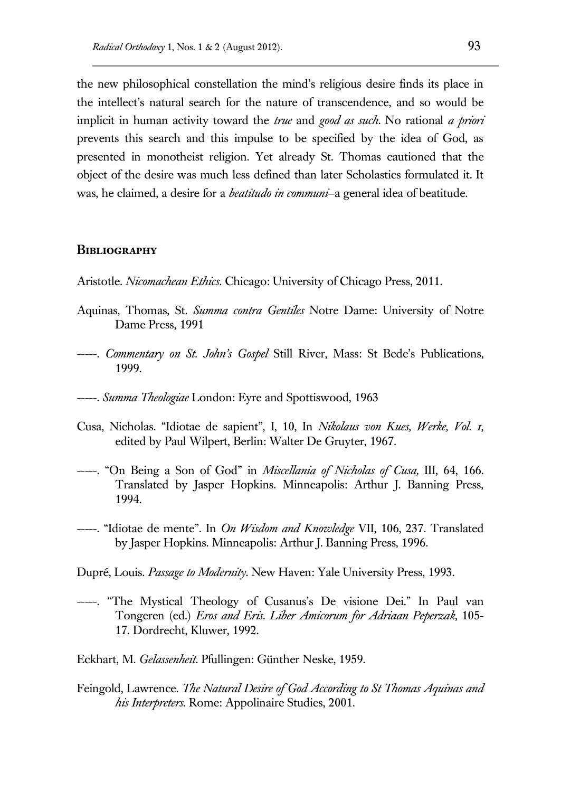the new philosophical constellation the mind's religious desire finds its place in the intellect's natural search for the nature of transcendence, and so would be implicit in human activity toward the *true* and *good as such*. No rational *a priori* prevents this search and this impulse to be specified by the idea of God, as presented in monotheist religion. Yet already St. Thomas cautioned that the object of the desire was much less defined than later Scholastics formulated it. It was, he claimed, a desire for a *beatitudo in communi*—a general idea of beatitude.

#### **Bibliography**

- Aristotle. *Nicomachean Ethics.* Chicago: University of Chicago Press, 2011.
- Aquinas, Thomas, St. *Summa contra Gentiles* Notre Dame: University of Notre Dame Press, 1991
- -----. *Commentary on St. John's Gospel* Still River, Mass: St Bede's Publications, 1999.
- -----. *Summa Theologiae* London: Eyre and Spottiswood, 1963
- Cusa, Nicholas. "Idiotae de sapient", I, 10, In *Nikolaus von Kues, Werke, Vol. 1*, edited by Paul Wilpert, Berlin: Walter De Gruyter, 1967.
- -----. "On Being a Son of God" in *Miscellania of Nicholas of Cusa,* III, 64, 166. Translated by Jasper Hopkins. Minneapolis: Arthur J. Banning Press, 1994.
- -----. "Idiotae de mente". In *On Wisdom and Knowledge* VII, 106, 237. Translated by Jasper Hopkins. Minneapolis: Arthur J. Banning Press, 1996.
- Dupré, Louis. *Passage to Modernity*. New Haven: Yale University Press, 1993.
- -----. "The Mystical Theology of Cusanus's De visione Dei." In Paul van Tongeren (ed.) *Eros and Eris. Liber Amicorum for Adriaan Peperzak*, 105- 17. Dordrecht, Kluwer, 1992.
- Eckhart, M. *Gelassenheit*. Pfullingen: Günther Neske, 1959.
- Feingold, Lawrence. *The Natural Desire of God According to St Thomas Aquinas and his Interpreters.* Rome: Appolinaire Studies, 2001.